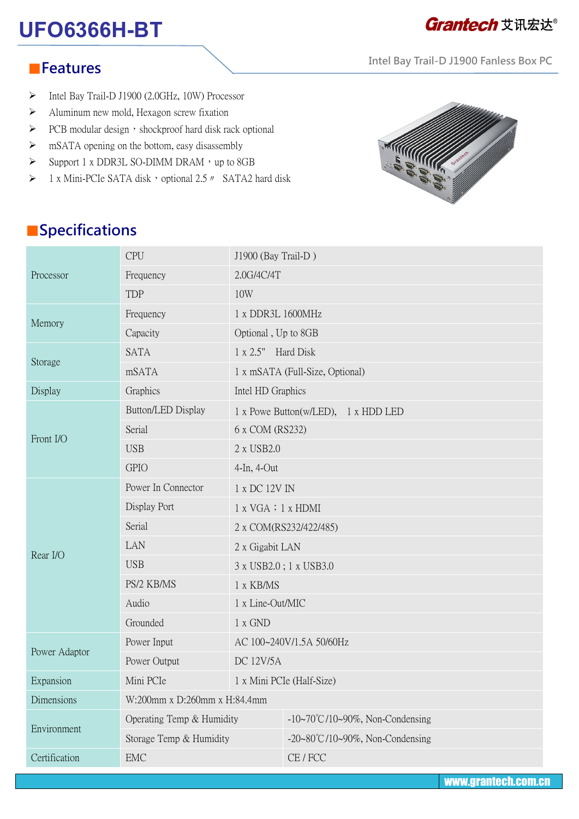# **UFO6366H-BT**

## **Grantech** 艾讯宏达®

**Intel Bay Trail-D J1900 Fanless Box PC**

#### ■**Features**

- Intel Bay Trail-D J1900 (2.0GHz, 10W) Processor
- $\triangleright$  Aluminum new mold, Hexagon screw fixation
- $\triangleright$  PCB modular design, shockproof hard disk rack optional
- $\triangleright$  mSATA opening on the bottom, easy disassembly
- $\triangleright$  Support 1 x DDR3L SO-DIMM DRAM, up to 8GB
- 1 x Mini-PCIe SATA disk, optional 2.5 *m* SATA2 hard disk and disk



### ■**Specifications**

| Processor     | <b>CPU</b>                   | J1900 (Bay Trail-D)                 |                                 |  |
|---------------|------------------------------|-------------------------------------|---------------------------------|--|
|               | Frequency                    | 2.0G/4C/4T                          |                                 |  |
|               | <b>TDP</b>                   | 10W                                 |                                 |  |
| Memory        | Frequency                    | 1 x DDR3L 1600MHz                   |                                 |  |
|               | Capacity                     | Optional, Up to 8GB                 |                                 |  |
| Storage       | <b>SATA</b>                  | 1 x 2.5" Hard Disk                  |                                 |  |
|               | mSATA                        | 1 x mSATA (Full-Size, Optional)     |                                 |  |
| Display       | Graphics                     | Intel HD Graphics                   |                                 |  |
| Front I/O     | Button/LED Display           | 1 x Powe Button(w/LED), 1 x HDD LED |                                 |  |
|               | Serial                       | 6 x COM (RS232)                     |                                 |  |
|               | <b>USB</b>                   | 2 x USB2.0                          |                                 |  |
|               | <b>GPIO</b>                  | 4-In, 4-Out                         |                                 |  |
| Rear I/O      | Power In Connector           | 1 x DC 12V IN                       |                                 |  |
|               | Display Port                 | 1 x VGA : 1 x HDMI                  |                                 |  |
|               | Serial                       | 2 x COM(RS232/422/485)              |                                 |  |
|               | LAN                          | 2 x Gigabit LAN                     |                                 |  |
|               | <b>USB</b>                   | 3 x USB2.0; 1 x USB3.0              |                                 |  |
|               | PS/2 KB/MS                   | 1 x KB/MS                           |                                 |  |
|               | Audio                        | 1 x Line-Out/MIC                    |                                 |  |
|               | Grounded                     | 1 x GND                             |                                 |  |
| Power Adaptor | Power Input                  | AC 100~240V/1.5A 50/60Hz            |                                 |  |
|               | Power Output                 | <b>DC 12V/5A</b>                    |                                 |  |
| Expansion     | Mini PCIe                    |                                     | 1 x Mini PCIe (Half-Size)       |  |
| Dimensions    | W:200mm x D:260mm x H:84.4mm |                                     |                                 |  |
| Environment   | Operating Temp & Humidity    |                                     | -10~70°C/10~90%, Non-Condensing |  |
|               | Storage Temp & Humidity      |                                     | -20~80°C/10~90%, Non-Condensing |  |
| Certification | ${\rm EMC}$                  |                                     | CE / FCC                        |  |

www.grantech.com.cn